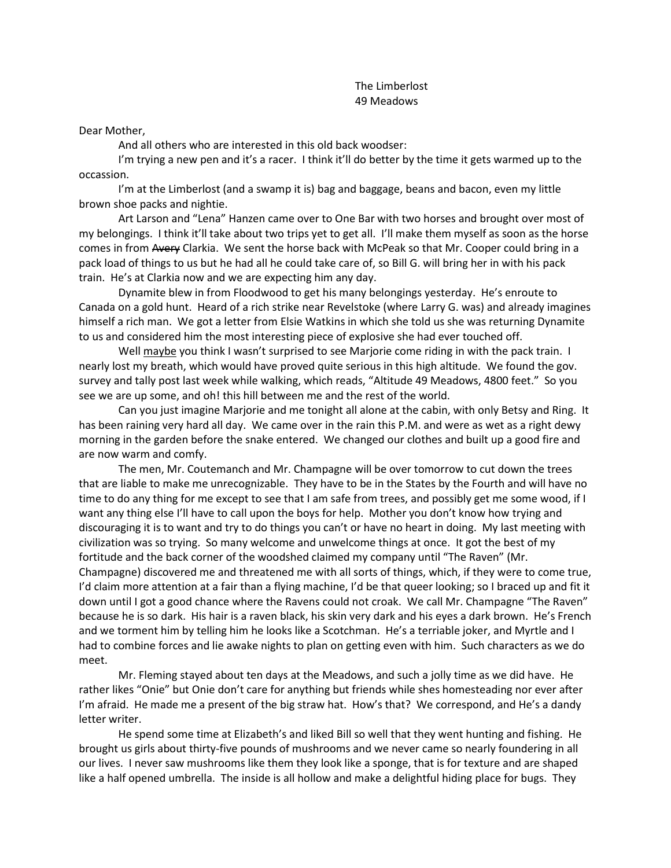## The Limberlost 49 Meadows

## Dear Mother,

And all others who are interested in this old back woodser:

I'm trying a new pen and it's a racer. I think it'll do better by the time it gets warmed up to the occassion.

I'm at the Limberlost (and a swamp it is) bag and baggage, beans and bacon, even my little brown shoe packs and nightie.

Art Larson and "Lena" Hanzen came over to One Bar with two horses and brought over most of my belongings. I think it'll take about two trips yet to get all. I'll make them myself as soon as the horse comes in from Avery Clarkia. We sent the horse back with McPeak so that Mr. Cooper could bring in a pack load of things to us but he had all he could take care of, so Bill G. will bring her in with his pack train. He's at Clarkia now and we are expecting him any day.

Dynamite blew in from Floodwood to get his many belongings yesterday. He's enroute to Canada on a gold hunt. Heard of a rich strike near Revelstoke (where Larry G. was) and already imagines himself a rich man. We got a letter from Elsie Watkins in which she told us she was returning Dynamite to us and considered him the most interesting piece of explosive she had ever touched off.

Well maybe you think I wasn't surprised to see Marjorie come riding in with the pack train. I nearly lost my breath, which would have proved quite serious in this high altitude. We found the gov. survey and tally post last week while walking, which reads, "Altitude 49 Meadows, 4800 feet." So you see we are up some, and oh! this hill between me and the rest of the world.

Can you just imagine Marjorie and me tonight all alone at the cabin, with only Betsy and Ring. It has been raining very hard all day. We came over in the rain this P.M. and were as wet as a right dewy morning in the garden before the snake entered. We changed our clothes and built up a good fire and are now warm and comfy.

The men, Mr. Coutemanch and Mr. Champagne will be over tomorrow to cut down the trees that are liable to make me unrecognizable. They have to be in the States by the Fourth and will have no time to do any thing for me except to see that I am safe from trees, and possibly get me some wood, if I want any thing else I'll have to call upon the boys for help. Mother you don't know how trying and discouraging it is to want and try to do things you can't or have no heart in doing. My last meeting with civilization was so trying. So many welcome and unwelcome things at once. It got the best of my fortitude and the back corner of the woodshed claimed my company until "The Raven" (Mr. Champagne) discovered me and threatened me with all sorts of things, which, if they were to come true, I'd claim more attention at a fair than a flying machine, I'd be that queer looking; so I braced up and fit it down until I got a good chance where the Ravens could not croak. We call Mr. Champagne "The Raven" because he is so dark. His hair is a raven black, his skin very dark and his eyes a dark brown. He's French and we torment him by telling him he looks like a Scotchman. He's a terriable joker, and Myrtle and I had to combine forces and lie awake nights to plan on getting even with him. Such characters as we do meet.

Mr. Fleming stayed about ten days at the Meadows, and such a jolly time as we did have. He rather likes "Onie" but Onie don't care for anything but friends while shes homesteading nor ever after I'm afraid. He made me a present of the big straw hat. How's that? We correspond, and He's a dandy letter writer.

He spend some time at Elizabeth's and liked Bill so well that they went hunting and fishing. He brought us girls about thirty-five pounds of mushrooms and we never came so nearly foundering in all our lives. I never saw mushrooms like them they look like a sponge, that is for texture and are shaped like a half opened umbrella. The inside is all hollow and make a delightful hiding place for bugs. They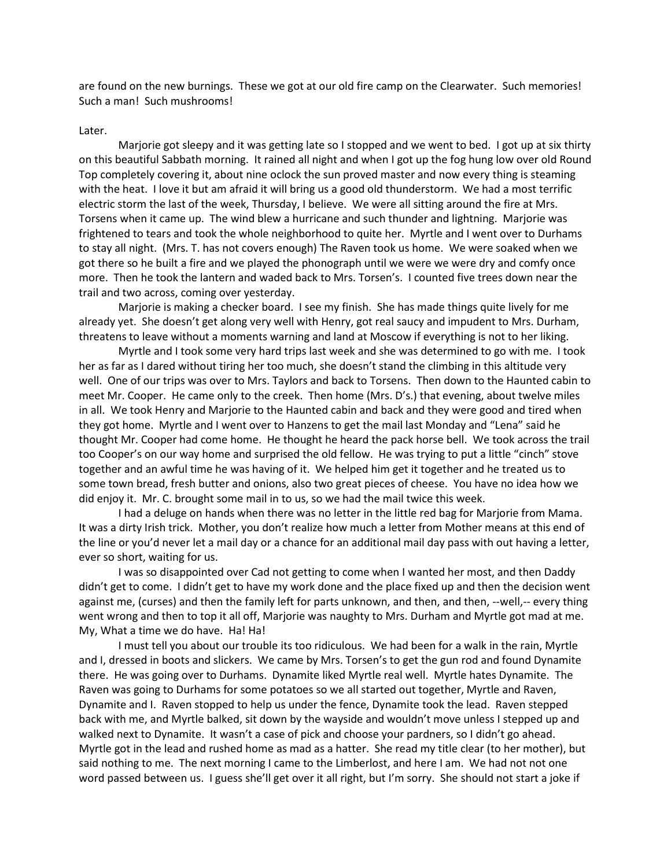are found on the new burnings. These we got at our old fire camp on the Clearwater. Such memories! Such a man! Such mushrooms!

## Later.

Marjorie got sleepy and it was getting late so I stopped and we went to bed. I got up at six thirty on this beautiful Sabbath morning. It rained all night and when I got up the fog hung low over old Round Top completely covering it, about nine oclock the sun proved master and now every thing is steaming with the heat. I love it but am afraid it will bring us a good old thunderstorm. We had a most terrific electric storm the last of the week, Thursday, I believe. We were all sitting around the fire at Mrs. Torsens when it came up. The wind blew a hurricane and such thunder and lightning. Marjorie was frightened to tears and took the whole neighborhood to quite her. Myrtle and I went over to Durhams to stay all night. (Mrs. T. has not covers enough) The Raven took us home. We were soaked when we got there so he built a fire and we played the phonograph until we were we were dry and comfy once more. Then he took the lantern and waded back to Mrs. Torsen's. I counted five trees down near the trail and two across, coming over yesterday.

Marjorie is making a checker board. I see my finish. She has made things quite lively for me already yet. She doesn't get along very well with Henry, got real saucy and impudent to Mrs. Durham, threatens to leave without a moments warning and land at Moscow if everything is not to her liking.

Myrtle and I took some very hard trips last week and she was determined to go with me. I took her as far as I dared without tiring her too much, she doesn't stand the climbing in this altitude very well. One of our trips was over to Mrs. Taylors and back to Torsens. Then down to the Haunted cabin to meet Mr. Cooper. He came only to the creek. Then home (Mrs. D's.) that evening, about twelve miles in all. We took Henry and Marjorie to the Haunted cabin and back and they were good and tired when they got home. Myrtle and I went over to Hanzens to get the mail last Monday and "Lena" said he thought Mr. Cooper had come home. He thought he heard the pack horse bell. We took across the trail too Cooper's on our way home and surprised the old fellow. He was trying to put a little "cinch" stove together and an awful time he was having of it. We helped him get it together and he treated us to some town bread, fresh butter and onions, also two great pieces of cheese. You have no idea how we did enjoy it. Mr. C. brought some mail in to us, so we had the mail twice this week.

I had a deluge on hands when there was no letter in the little red bag for Marjorie from Mama. It was a dirty Irish trick. Mother, you don't realize how much a letter from Mother means at this end of the line or you'd never let a mail day or a chance for an additional mail day pass with out having a letter, ever so short, waiting for us.

I was so disappointed over Cad not getting to come when I wanted her most, and then Daddy didn't get to come. I didn't get to have my work done and the place fixed up and then the decision went against me, (curses) and then the family left for parts unknown, and then, and then, --well,-- every thing went wrong and then to top it all off, Marjorie was naughty to Mrs. Durham and Myrtle got mad at me. My, What a time we do have. Ha! Ha!

I must tell you about our trouble its too ridiculous. We had been for a walk in the rain, Myrtle and I, dressed in boots and slickers. We came by Mrs. Torsen's to get the gun rod and found Dynamite there. He was going over to Durhams. Dynamite liked Myrtle real well. Myrtle hates Dynamite. The Raven was going to Durhams for some potatoes so we all started out together, Myrtle and Raven, Dynamite and I. Raven stopped to help us under the fence, Dynamite took the lead. Raven stepped back with me, and Myrtle balked, sit down by the wayside and wouldn't move unless I stepped up and walked next to Dynamite. It wasn't a case of pick and choose your pardners, so I didn't go ahead. Myrtle got in the lead and rushed home as mad as a hatter. She read my title clear (to her mother), but said nothing to me. The next morning I came to the Limberlost, and here I am. We had not not one word passed between us. I guess she'll get over it all right, but I'm sorry. She should not start a joke if